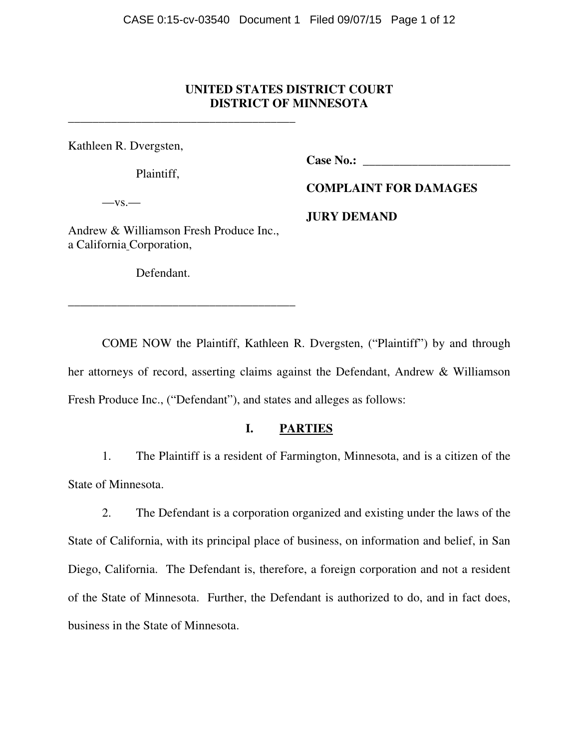# **UNITED STATES DISTRICT COURT DISTRICT OF MINNESOTA**

Kathleen R. Dvergsten,

Plaintiff,

**Case No.: \_\_\_\_\_\_\_\_\_\_\_\_\_\_\_\_\_\_\_\_\_\_\_\_** 

 $-$ vs. $-$ 

**COMPLAINT FOR DAMAGES** 

**JURY DEMAND** 

Andrew & Williamson Fresh Produce Inc., a California Corporation,

\_\_\_\_\_\_\_\_\_\_\_\_\_\_\_\_\_\_\_\_\_\_\_\_\_\_\_\_\_\_\_\_\_\_\_\_\_

\_\_\_\_\_\_\_\_\_\_\_\_\_\_\_\_\_\_\_\_\_\_\_\_\_\_\_\_\_\_\_\_\_\_\_\_\_

Defendant.

 COME NOW the Plaintiff, Kathleen R. Dvergsten, ("Plaintiff") by and through her attorneys of record, asserting claims against the Defendant, Andrew & Williamson Fresh Produce Inc., ("Defendant"), and states and alleges as follows:

# **I. PARTIES**

 1. The Plaintiff is a resident of Farmington, Minnesota, and is a citizen of the State of Minnesota.

 2. The Defendant is a corporation organized and existing under the laws of the State of California, with its principal place of business, on information and belief, in San Diego, California. The Defendant is, therefore, a foreign corporation and not a resident of the State of Minnesota. Further, the Defendant is authorized to do, and in fact does, business in the State of Minnesota.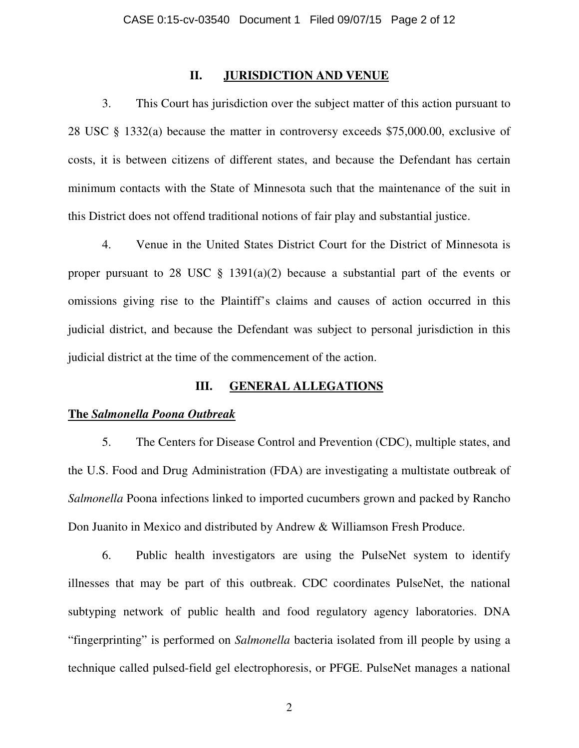### **II. JURISDICTION AND VENUE**

 3. This Court has jurisdiction over the subject matter of this action pursuant to 28 USC § 1332(a) because the matter in controversy exceeds \$75,000.00, exclusive of costs, it is between citizens of different states, and because the Defendant has certain minimum contacts with the State of Minnesota such that the maintenance of the suit in this District does not offend traditional notions of fair play and substantial justice.

 4. Venue in the United States District Court for the District of Minnesota is proper pursuant to 28 USC  $\S$  1391(a)(2) because a substantial part of the events or omissions giving rise to the Plaintiff's claims and causes of action occurred in this judicial district, and because the Defendant was subject to personal jurisdiction in this judicial district at the time of the commencement of the action.

## **III. GENERAL ALLEGATIONS**

#### **The** *Salmonella Poona Outbreak*

5. The Centers for Disease Control and Prevention (CDC), multiple states, and the U.S. Food and Drug Administration (FDA) are investigating a multistate outbreak of *Salmonella* Poona infections linked to imported cucumbers grown and packed by Rancho Don Juanito in Mexico and distributed by Andrew & Williamson Fresh Produce.

6. Public health investigators are using the PulseNet system to identify illnesses that may be part of this outbreak. CDC coordinates PulseNet, the national subtyping network of public health and food regulatory agency laboratories. DNA "fingerprinting" is performed on *Salmonella* bacteria isolated from ill people by using a technique called pulsed-field gel electrophoresis, or PFGE. PulseNet manages a national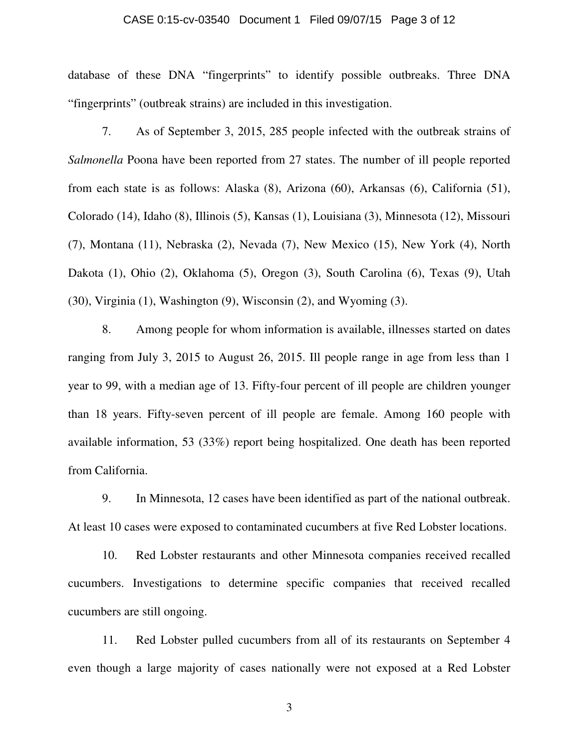#### CASE 0:15-cv-03540 Document 1 Filed 09/07/15 Page 3 of 12

database of these DNA "fingerprints" to identify possible outbreaks. Three DNA "fingerprints" (outbreak strains) are included in this investigation.

7. As of September 3, 2015, 285 people infected with the outbreak strains of *Salmonella* Poona have been reported from 27 states. The number of ill people reported from each state is as follows: Alaska (8), Arizona (60), Arkansas (6), California (51), Colorado (14), Idaho (8), Illinois (5), Kansas (1), Louisiana (3), Minnesota (12), Missouri (7), Montana (11), Nebraska (2), Nevada (7), New Mexico (15), New York (4), North Dakota (1), Ohio (2), Oklahoma (5), Oregon (3), South Carolina (6), Texas (9), Utah (30), Virginia (1), Washington (9), Wisconsin (2), and Wyoming (3).

8. Among people for whom information is available, illnesses started on dates ranging from July 3, 2015 to August 26, 2015. Ill people range in age from less than 1 year to 99, with a median age of 13. Fifty-four percent of ill people are children younger than 18 years. Fifty-seven percent of ill people are female. Among 160 people with available information, 53 (33%) report being hospitalized. One death has been reported from California.

9. In Minnesota, 12 cases have been identified as part of the national outbreak. At least 10 cases were exposed to contaminated cucumbers at five Red Lobster locations.

10. Red Lobster restaurants and other Minnesota companies received recalled cucumbers. Investigations to determine specific companies that received recalled cucumbers are still ongoing.

11. Red Lobster pulled cucumbers from all of its restaurants on September 4 even though a large majority of cases nationally were not exposed at a Red Lobster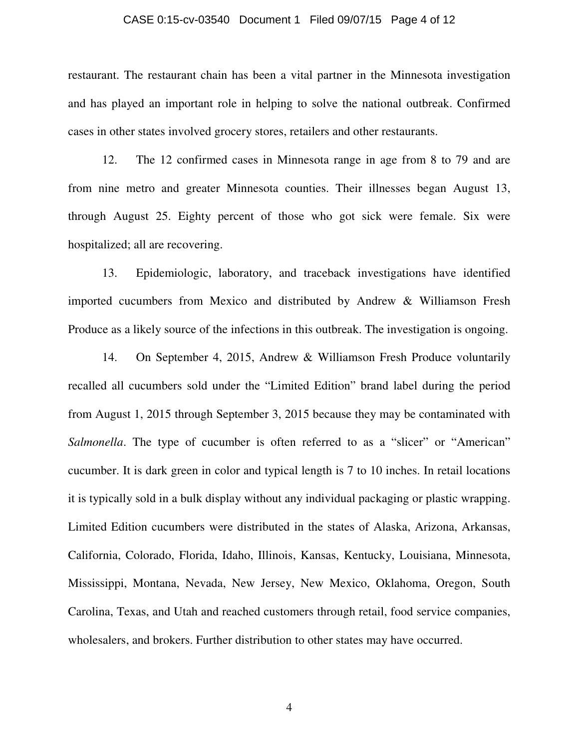#### CASE 0:15-cv-03540 Document 1 Filed 09/07/15 Page 4 of 12

restaurant. The restaurant chain has been a vital partner in the Minnesota investigation and has played an important role in helping to solve the national outbreak. Confirmed cases in other states involved grocery stores, retailers and other restaurants.

12. The 12 confirmed cases in Minnesota range in age from 8 to 79 and are from nine metro and greater Minnesota counties. Their illnesses began August 13, through August 25. Eighty percent of those who got sick were female. Six were hospitalized; all are recovering.

13. Epidemiologic, laboratory, and traceback investigations have identified imported cucumbers from Mexico and distributed by Andrew & Williamson Fresh Produce as a likely source of the infections in this outbreak. The investigation is ongoing.

14. On September 4, 2015, Andrew & Williamson Fresh Produce voluntarily recalled all cucumbers sold under the "Limited Edition" brand label during the period from August 1, 2015 through September 3, 2015 because they may be contaminated with *Salmonella*. The type of cucumber is often referred to as a "slicer" or "American" cucumber. It is dark green in color and typical length is 7 to 10 inches. In retail locations it is typically sold in a bulk display without any individual packaging or plastic wrapping. Limited Edition cucumbers were distributed in the states of Alaska, Arizona, Arkansas, California, Colorado, Florida, Idaho, Illinois, Kansas, Kentucky, Louisiana, Minnesota, Mississippi, Montana, Nevada, New Jersey, New Mexico, Oklahoma, Oregon, South Carolina, Texas, and Utah and reached customers through retail, food service companies, wholesalers, and brokers. Further distribution to other states may have occurred.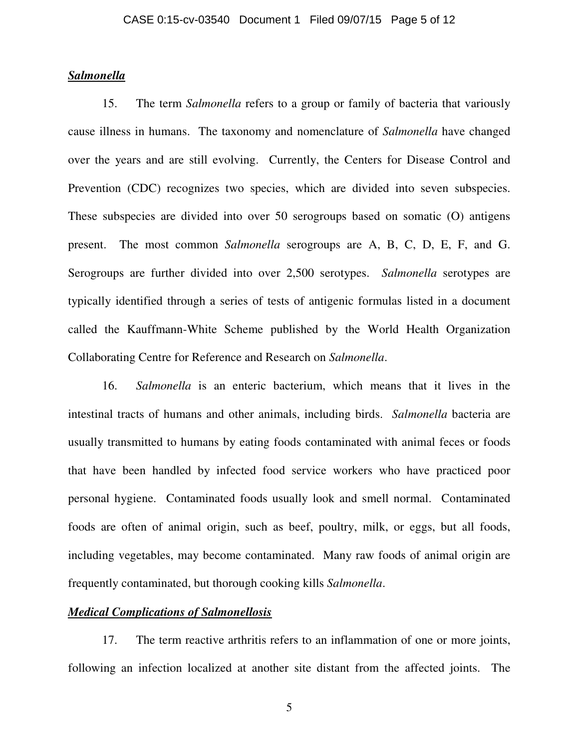## *Salmonella*

15. The term *Salmonella* refers to a group or family of bacteria that variously cause illness in humans. The taxonomy and nomenclature of *Salmonella* have changed over the years and are still evolving. Currently, the Centers for Disease Control and Prevention (CDC) recognizes two species, which are divided into seven subspecies. These subspecies are divided into over 50 serogroups based on somatic (O) antigens present. The most common *Salmonella* serogroups are A, B, C, D, E, F, and G. Serogroups are further divided into over 2,500 serotypes. *Salmonella* serotypes are typically identified through a series of tests of antigenic formulas listed in a document called the Kauffmann-White Scheme published by the World Health Organization Collaborating Centre for Reference and Research on *Salmonella*.

16. *Salmonella* is an enteric bacterium, which means that it lives in the intestinal tracts of humans and other animals, including birds. *Salmonella* bacteria are usually transmitted to humans by eating foods contaminated with animal feces or foods that have been handled by infected food service workers who have practiced poor personal hygiene. Contaminated foods usually look and smell normal. Contaminated foods are often of animal origin, such as beef, poultry, milk, or eggs, but all foods, including vegetables, may become contaminated. Many raw foods of animal origin are frequently contaminated, but thorough cooking kills *Salmonella*.

## *Medical Complications of Salmonellosis*

17. The term reactive arthritis refers to an inflammation of one or more joints, following an infection localized at another site distant from the affected joints. The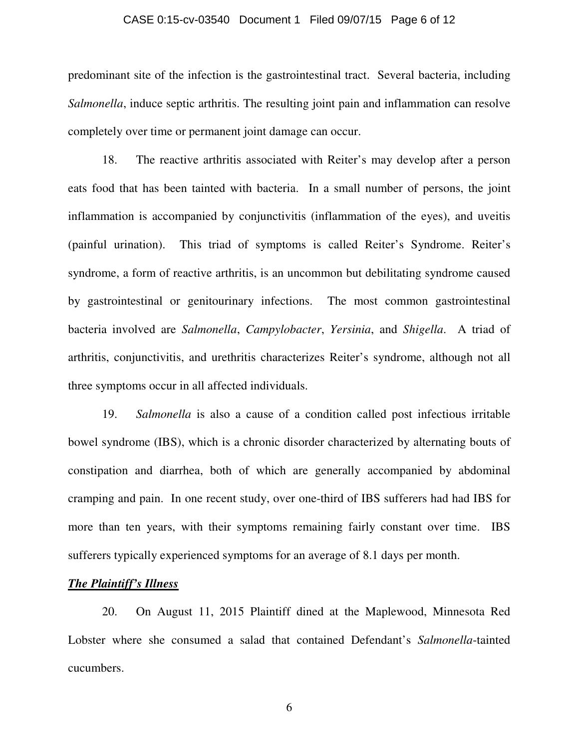#### CASE 0:15-cv-03540 Document 1 Filed 09/07/15 Page 6 of 12

predominant site of the infection is the gastrointestinal tract. Several bacteria, including *Salmonella*, induce septic arthritis. The resulting joint pain and inflammation can resolve completely over time or permanent joint damage can occur.

18. The reactive arthritis associated with Reiter's may develop after a person eats food that has been tainted with bacteria. In a small number of persons, the joint inflammation is accompanied by conjunctivitis (inflammation of the eyes), and uveitis (painful urination). This triad of symptoms is called Reiter's Syndrome. Reiter's syndrome, a form of reactive arthritis, is an uncommon but debilitating syndrome caused by gastrointestinal or genitourinary infections. The most common gastrointestinal bacteria involved are *Salmonella*, *Campylobacter*, *Yersinia*, and *Shigella*. A triad of arthritis, conjunctivitis, and urethritis characterizes Reiter's syndrome, although not all three symptoms occur in all affected individuals.

 19. *Salmonella* is also a cause of a condition called post infectious irritable bowel syndrome (IBS), which is a chronic disorder characterized by alternating bouts of constipation and diarrhea, both of which are generally accompanied by abdominal cramping and pain. In one recent study, over one-third of IBS sufferers had had IBS for more than ten years, with their symptoms remaining fairly constant over time. IBS sufferers typically experienced symptoms for an average of 8.1 days per month.

### *The Plaintiff's Illness*

 20. On August 11, 2015 Plaintiff dined at the Maplewood, Minnesota Red Lobster where she consumed a salad that contained Defendant's *Salmonella*-tainted cucumbers.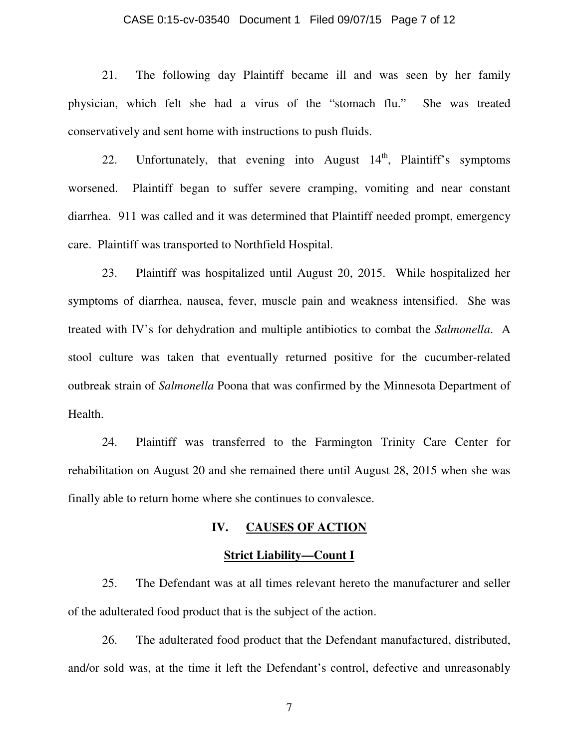#### CASE 0:15-cv-03540 Document 1 Filed 09/07/15 Page 7 of 12

 21. The following day Plaintiff became ill and was seen by her family physician, which felt she had a virus of the "stomach flu." She was treated conservatively and sent home with instructions to push fluids.

22. Unfortunately, that evening into August  $14<sup>th</sup>$ , Plaintiff's symptoms worsened. Plaintiff began to suffer severe cramping, vomiting and near constant diarrhea. 911 was called and it was determined that Plaintiff needed prompt, emergency care. Plaintiff was transported to Northfield Hospital.

 23. Plaintiff was hospitalized until August 20, 2015. While hospitalized her symptoms of diarrhea, nausea, fever, muscle pain and weakness intensified. She was treated with IV's for dehydration and multiple antibiotics to combat the *Salmonella*. A stool culture was taken that eventually returned positive for the cucumber-related outbreak strain of *Salmonella* Poona that was confirmed by the Minnesota Department of Health.

 24. Plaintiff was transferred to the Farmington Trinity Care Center for rehabilitation on August 20 and she remained there until August 28, 2015 when she was finally able to return home where she continues to convalesce.

### **IV. CAUSES OF ACTION**

#### **Strict Liability—Count I**

 25. The Defendant was at all times relevant hereto the manufacturer and seller of the adulterated food product that is the subject of the action.

 26. The adulterated food product that the Defendant manufactured, distributed, and/or sold was, at the time it left the Defendant's control, defective and unreasonably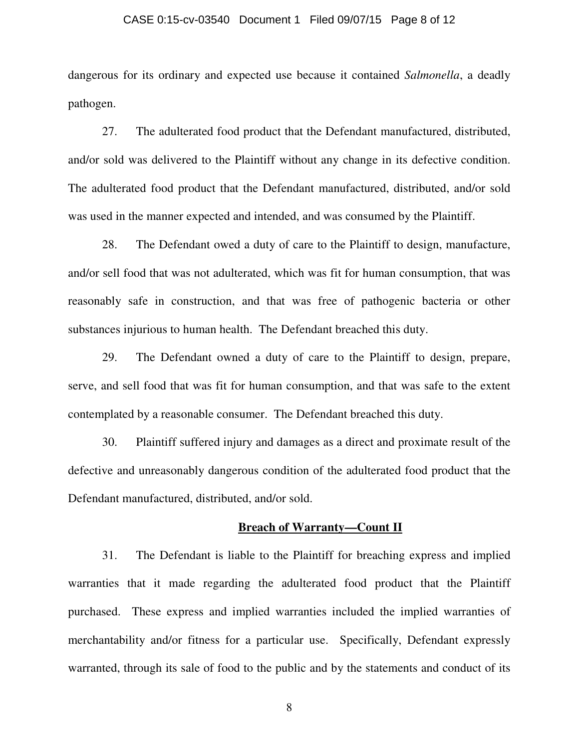#### CASE 0:15-cv-03540 Document 1 Filed 09/07/15 Page 8 of 12

dangerous for its ordinary and expected use because it contained *Salmonella*, a deadly pathogen.

 27. The adulterated food product that the Defendant manufactured, distributed, and/or sold was delivered to the Plaintiff without any change in its defective condition. The adulterated food product that the Defendant manufactured, distributed, and/or sold was used in the manner expected and intended, and was consumed by the Plaintiff.

28. The Defendant owed a duty of care to the Plaintiff to design, manufacture, and/or sell food that was not adulterated, which was fit for human consumption, that was reasonably safe in construction, and that was free of pathogenic bacteria or other substances injurious to human health. The Defendant breached this duty.

 29. The Defendant owned a duty of care to the Plaintiff to design, prepare, serve, and sell food that was fit for human consumption, and that was safe to the extent contemplated by a reasonable consumer. The Defendant breached this duty.

 30. Plaintiff suffered injury and damages as a direct and proximate result of the defective and unreasonably dangerous condition of the adulterated food product that the Defendant manufactured, distributed, and/or sold.

### **Breach of Warranty—Count II**

31. The Defendant is liable to the Plaintiff for breaching express and implied warranties that it made regarding the adulterated food product that the Plaintiff purchased. These express and implied warranties included the implied warranties of merchantability and/or fitness for a particular use. Specifically, Defendant expressly warranted, through its sale of food to the public and by the statements and conduct of its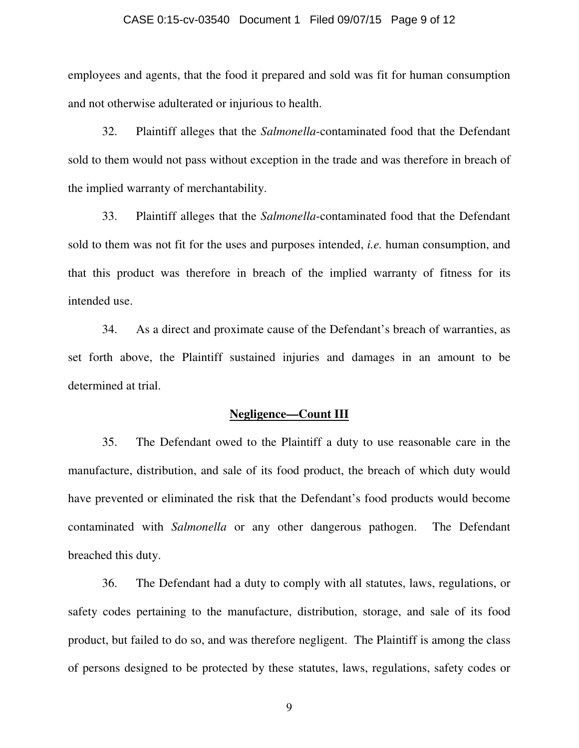#### CASE 0:15-cv-03540 Document 1 Filed 09/07/15 Page 9 of 12

employees and agents, that the food it prepared and sold was fit for human consumption and not otherwise adulterated or injurious to health.

32. Plaintiff alleges that the *Salmonella*-contaminated food that the Defendant sold to them would not pass without exception in the trade and was therefore in breach of the implied warranty of merchantability.

33. Plaintiff alleges that the *Salmonella*-contaminated food that the Defendant sold to them was not fit for the uses and purposes intended, *i.e.* human consumption, and that this product was therefore in breach of the implied warranty of fitness for its intended use.

34. As a direct and proximate cause of the Defendant's breach of warranties, as set forth above, the Plaintiff sustained injuries and damages in an amount to be determined at trial.

### **Negligence—Count III**

35. The Defendant owed to the Plaintiff a duty to use reasonable care in the manufacture, distribution, and sale of its food product, the breach of which duty would have prevented or eliminated the risk that the Defendant's food products would become contaminated with *Salmonella* or any other dangerous pathogen. The Defendant breached this duty.

36. The Defendant had a duty to comply with all statutes, laws, regulations, or safety codes pertaining to the manufacture, distribution, storage, and sale of its food product, but failed to do so, and was therefore negligent. The Plaintiff is among the class of persons designed to be protected by these statutes, laws, regulations, safety codes or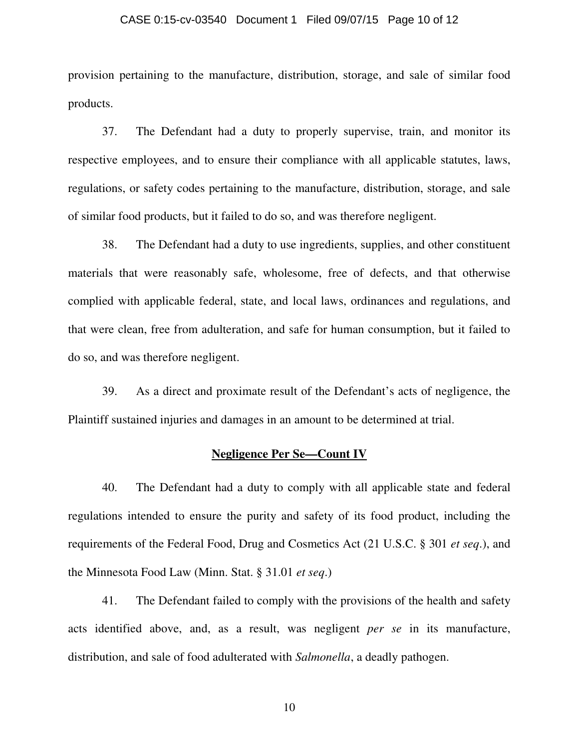#### CASE 0:15-cv-03540 Document 1 Filed 09/07/15 Page 10 of 12

provision pertaining to the manufacture, distribution, storage, and sale of similar food products.

37. The Defendant had a duty to properly supervise, train, and monitor its respective employees, and to ensure their compliance with all applicable statutes, laws, regulations, or safety codes pertaining to the manufacture, distribution, storage, and sale of similar food products, but it failed to do so, and was therefore negligent.

 38. The Defendant had a duty to use ingredients, supplies, and other constituent materials that were reasonably safe, wholesome, free of defects, and that otherwise complied with applicable federal, state, and local laws, ordinances and regulations, and that were clean, free from adulteration, and safe for human consumption, but it failed to do so, and was therefore negligent.

39. As a direct and proximate result of the Defendant's acts of negligence, the Plaintiff sustained injuries and damages in an amount to be determined at trial.

### **Negligence Per Se—Count IV**

40. The Defendant had a duty to comply with all applicable state and federal regulations intended to ensure the purity and safety of its food product, including the requirements of the Federal Food, Drug and Cosmetics Act (21 U.S.C. § 301 *et seq*.), and the Minnesota Food Law (Minn. Stat. § 31.01 *et seq*.)

41. The Defendant failed to comply with the provisions of the health and safety acts identified above, and, as a result, was negligent *per se* in its manufacture, distribution, and sale of food adulterated with *Salmonella*, a deadly pathogen.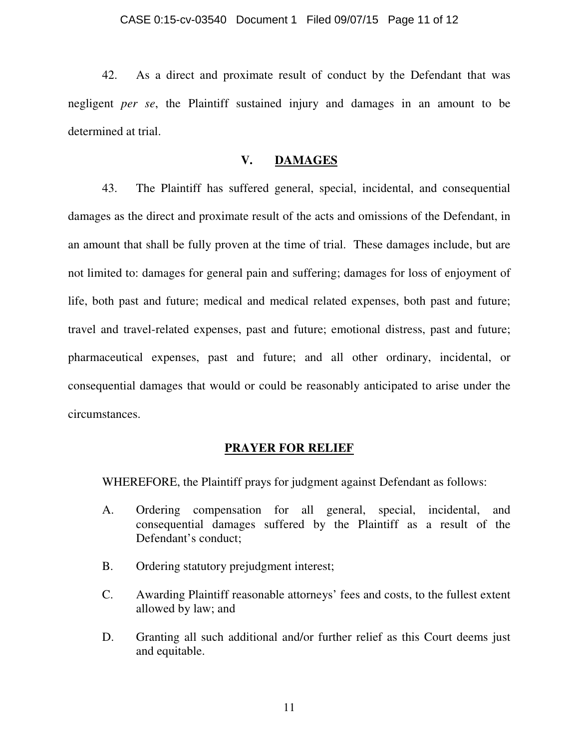42. As a direct and proximate result of conduct by the Defendant that was negligent *per se*, the Plaintiff sustained injury and damages in an amount to be determined at trial.

## **V. DAMAGES**

 43. The Plaintiff has suffered general, special, incidental, and consequential damages as the direct and proximate result of the acts and omissions of the Defendant, in an amount that shall be fully proven at the time of trial. These damages include, but are not limited to: damages for general pain and suffering; damages for loss of enjoyment of life, both past and future; medical and medical related expenses, both past and future; travel and travel-related expenses, past and future; emotional distress, past and future; pharmaceutical expenses, past and future; and all other ordinary, incidental, or consequential damages that would or could be reasonably anticipated to arise under the circumstances.

## **PRAYER FOR RELIEF**

WHEREFORE, the Plaintiff prays for judgment against Defendant as follows:

- A. Ordering compensation for all general, special, incidental, and consequential damages suffered by the Plaintiff as a result of the Defendant's conduct;
- B. Ordering statutory prejudgment interest;
- C. Awarding Plaintiff reasonable attorneys' fees and costs, to the fullest extent allowed by law; and
- D. Granting all such additional and/or further relief as this Court deems just and equitable.